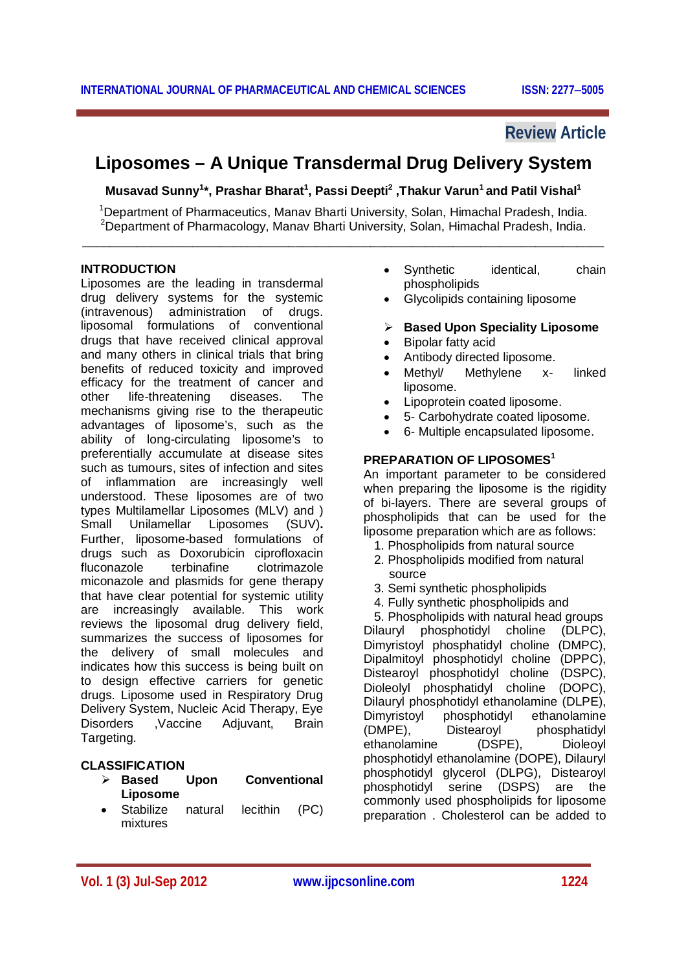# **Review Article**

# **Liposomes – A Unique Transdermal Drug Delivery System**

**Musavad Sunny<sup>1</sup> \*, Prashar Bharat<sup>1</sup> , Passi Deepti<sup>2</sup> ,Thakur Varun<sup>1</sup>and Patil Vishal<sup>1</sup>**

<sup>1</sup>Department of Pharmaceutics, Manav Bharti University, Solan, Himachal Pradesh, India. <sup>2</sup>Department of Pharmacology, Manav Bharti University, Solan, Himachal Pradesh, India. \_\_\_\_\_\_\_\_\_\_\_\_\_\_\_\_\_\_\_\_\_\_\_\_\_\_\_\_\_\_\_\_\_\_\_\_\_\_\_\_\_\_\_\_\_\_\_\_\_\_\_\_\_\_\_\_\_\_\_\_\_\_\_\_\_\_\_\_\_\_\_\_\_\_\_\_

#### **INTRODUCTION**

Liposomes are the leading in transdermal drug delivery systems for the systemic (intravenous) administration of drugs. liposomal formulations of conventional drugs that have received clinical approval and many others in clinical trials that bring benefits of reduced toxicity and improved efficacy for the treatment of cancer and other life-threatening diseases. The mechanisms giving rise to the therapeutic advantages of liposome's, such as the ability of long-circulating liposome's to preferentially accumulate at disease sites such as tumours, sites of infection and sites of inflammation are increasingly well understood. These liposomes are of two types Multilamellar Liposomes (MLV) and ) Small Unilamellar Liposomes (SUV)**.** Further, liposome-based formulations of drugs such as Doxorubicin ciprofloxacin fluconazole terbinafine clotrimazole miconazole and plasmids for gene therapy that have clear potential for systemic utility are increasingly available. This work reviews the liposomal drug delivery field, summarizes the success of liposomes for the delivery of small molecules and indicates how this success is being built on to design effective carriers for genetic drugs. Liposome used in Respiratory Drug Delivery System, Nucleic Acid Therapy, Eye Disorders ,Vaccine Adjuvant, Brain Targeting.

### **CLASSIFICATION**

- **Based Upon Conventional Liposome**
- Stabilize natural lecithin (PC) mixtures
- Synthetic identical, chain phospholipids
- Glycolipids containing liposome
- **Based Upon Speciality Liposome**
- Bipolar fatty acid
- Antibody directed liposome.
- Methyl/ Methylene x- linked liposome.
- Lipoprotein coated liposome.
- 5- Carbohydrate coated liposome.
- 6- Multiple encapsulated liposome.

### **PREPARATION OF LIPOSOMES<sup>1</sup>**

An important parameter to be considered when preparing the liposome is the rigidity of bi-layers. There are several groups of phospholipids that can be used for the liposome preparation which are as follows:

- 1. Phospholipids from natural source
- 2. Phospholipids modified from natural source
- 3. Semi synthetic phospholipids
- 4. Fully synthetic phospholipids and

 5. Phospholipids with natural head groups Dilauryl phosphotidyl choline (DLPC), Dimyristoyl phosphatidyl choline (DMPC), Dipalmitoyl phosphotidyl choline (DPPC), Distearoyl phosphotidyl choline (DSPC), Dioleolyl phosphatidyl choline (DOPC), Dilauryl phosphotidyl ethanolamine (DLPE), Dimyristoyl phosphotidyl ethanolamine<br>(DMPE). Distearoyl phosphatidyl phosphatidyl ethanolamine (DSPE), Dioleoyl phosphotidyl ethanolamine (DOPE), Dilauryl phosphotidyl glycerol (DLPG), Distearoyl phosphotidyl serine (DSPS) are the commonly used phospholipids for liposome preparation . Cholesterol can be added to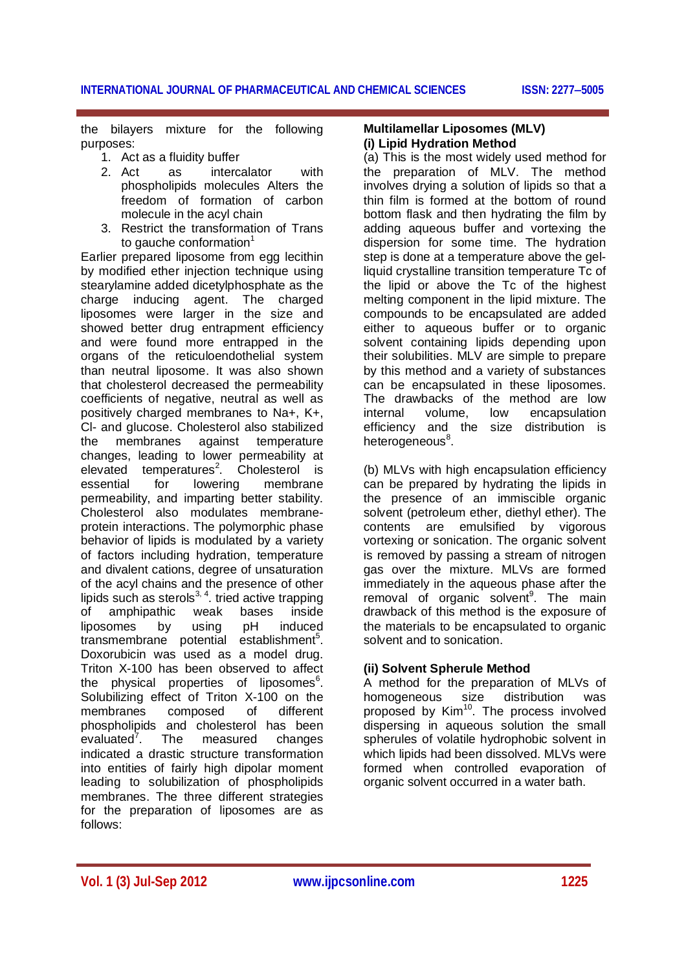the bilayers mixture for the following purposes:

- 1. Act as a fluidity buffer
- 2. Act as intercalator with phospholipids molecules Alters the freedom of formation of carbon molecule in the acyl chain
- 3. Restrict the transformation of Trans to gauche conformation<sup>1</sup>

Earlier prepared liposome from egg lecithin by modified ether injection technique using stearylamine added dicetylphosphate as the charge inducing agent. The charged liposomes were larger in the size and showed better drug entrapment efficiency and were found more entrapped in the organs of the reticuloendothelial system than neutral liposome. It was also shown that cholesterol decreased the permeability coefficients of negative, neutral as well as positively charged membranes to Na+, K+, Cl- and glucose. Cholesterol also stabilized the membranes against temperature changes, leading to lower permeability at elevated temperatures<sup>2</sup> . Cholesterol is essential for lowering membrane permeability, and imparting better stability. Cholesterol also modulates membraneprotein interactions. The polymorphic phase behavior of lipids is modulated by a variety of factors including hydration, temperature and divalent cations, degree of unsaturation of the acyl chains and the presence of other lipids such as sterols $^{3, 4}$ . tried active trapping of amphipathic weak bases inside<br>liposomes by using pH induced liposomes by using pH induced transmembrane potential establishment<sup>5</sup>. Doxorubicin was used as a model drug. Triton X-100 has been observed to affect the physical properties of liposomes<sup>6</sup>. Solubilizing effect of Triton X-100 on the membranes composed of different phospholipids and cholesterol has been<br>evaluated<sup>7</sup>. The measured changes  $e$ valuated $7$ measured changes indicated a drastic structure transformation into entities of fairly high dipolar moment leading to solubilization of phospholipids membranes. The three different strategies for the preparation of liposomes are as follows:

#### **Multilamellar Liposomes (MLV) (i) Lipid Hydration Method**

(a) This is the most widely used method for the preparation of MLV. The method involves drying a solution of lipids so that a thin film is formed at the bottom of round bottom flask and then hydrating the film by adding aqueous buffer and vortexing the dispersion for some time. The hydration step is done at a temperature above the gelliquid crystalline transition temperature Tc of the lipid or above the Tc of the highest melting component in the lipid mixture. The compounds to be encapsulated are added either to aqueous buffer or to organic solvent containing lipids depending upon their solubilities. MLV are simple to prepare by this method and a variety of substances can be encapsulated in these liposomes. The drawbacks of the method are low internal volume, low encapsulation efficiency and the size distribution is heterogeneous<sup>8</sup>.

(b) MLVs with high encapsulation efficiency can be prepared by hydrating the lipids in the presence of an immiscible organic solvent (petroleum ether, diethyl ether). The contents are emulsified by vigorous vortexing or sonication. The organic solvent is removed by passing a stream of nitrogen gas over the mixture. MLVs are formed immediately in the aqueous phase after the removal of organic solvent<sup>9</sup>. The main drawback of this method is the exposure of the materials to be encapsulated to organic solvent and to sonication.

# **(ii) Solvent Spherule Method**

A method for the preparation of MLVs of homogeneous size distribution was proposed by Kim<sup>10</sup>. The process involved dispersing in aqueous solution the small spherules of volatile hydrophobic solvent in which lipids had been dissolved. MLVs were formed when controlled evaporation of organic solvent occurred in a water bath.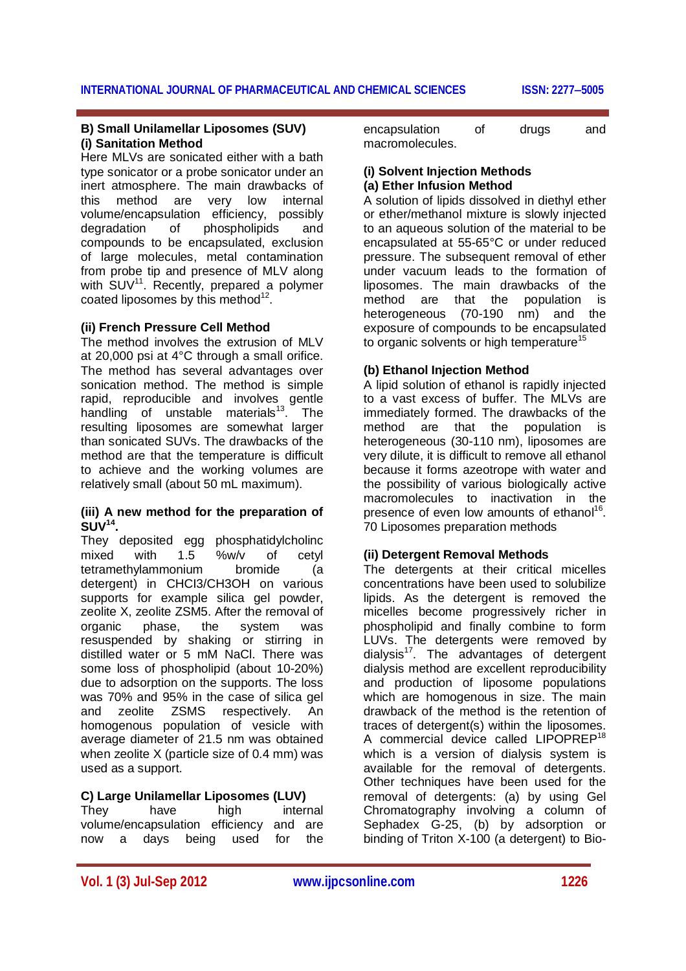#### **B) Small Unilamellar Liposomes (SUV) (i) Sanitation Method**

Here MLVs are sonicated either with a bath type sonicator or a probe sonicator under an inert atmosphere. The main drawbacks of this method are very low internal volume/encapsulation efficiency, possibly degradation of phospholipids and compounds to be encapsulated, exclusion of large molecules, metal contamination from probe tip and presence of MLV along with SUV<sup>11</sup>. Recently, prepared a polymer coated liposomes by this method $12$ .

### **(ii) French Pressure Cell Method**

The method involves the extrusion of MLV at 20,000 psi at 4°C through a small orifice. The method has several advantages over sonication method. The method is simple rapid, reproducible and involves gentle handling of unstable materials $13.$  The resulting liposomes are somewhat larger than sonicated SUVs. The drawbacks of the method are that the temperature is difficult to achieve and the working volumes are relatively small (about 50 mL maximum).

#### **(iii) A new method for the preparation of SUV<sup>14</sup> .**

They deposited egg phosphatidylcholinc mixed with 1.5 %w/v of cetyl tetramethylammonium bromide (a detergent) in CHCI3/CH3OH on various supports for example silica gel powder, zeolite X, zeolite ZSM5. After the removal of organic phase, the system was resuspended by shaking or stirring in distilled water or 5 mM NaCl. There was some loss of phospholipid (about 10-20%) due to adsorption on the supports. The loss was 70% and 95% in the case of silica gel and zeolite ZSMS respectively. An homogenous population of vesicle with average diameter of 21.5 nm was obtained when zeolite X (particle size of 0.4 mm) was used as a support.

# **C) Large Unilamellar Liposomes (LUV)**

They have high internal volume/encapsulation efficiency and are now a days being used for the

encapsulation of drugs and macromolecules.

#### **(i) Solvent Injection Methods (a) Ether Infusion Method**

A solution of lipids dissolved in diethyl ether or ether/methanol mixture is slowly injected to an aqueous solution of the material to be encapsulated at 55-65°C or under reduced pressure. The subsequent removal of ether under vacuum leads to the formation of liposomes. The main drawbacks of the method are that the population is heterogeneous (70-190 nm) and the exposure of compounds to be encapsulated to organic solvents or high temperature<sup>15</sup>

### **(b) Ethanol Injection Method**

A lipid solution of ethanol is rapidly injected to a vast excess of buffer. The MLVs are immediately formed. The drawbacks of the method are that the population is heterogeneous (30-110 nm), liposomes are very dilute, it is difficult to remove all ethanol because it forms azeotrope with water and the possibility of various biologically active macromolecules to inactivation in the presence of even low amounts of ethanol<sup>16</sup>. 70 Liposomes preparation methods

### **(ii) Detergent Removal Methods**

The detergents at their critical micelles concentrations have been used to solubilize lipids. As the detergent is removed the micelles become progressively richer in phospholipid and finally combine to form LUVs. The detergents were removed by dialysis<sup>17</sup>. The advantages of detergent dialysis method are excellent reproducibility and production of liposome populations which are homogenous in size. The main drawback of the method is the retention of traces of detergent(s) within the liposomes. A commercial device called LIPOPREP<sup>18</sup> which is a version of dialysis system is available for the removal of detergents. Other techniques have been used for the removal of detergents: (a) by using Gel Chromatography involving a column of Sephadex G-25, (b) by adsorption or binding of Triton X-100 (a detergent) to Bio-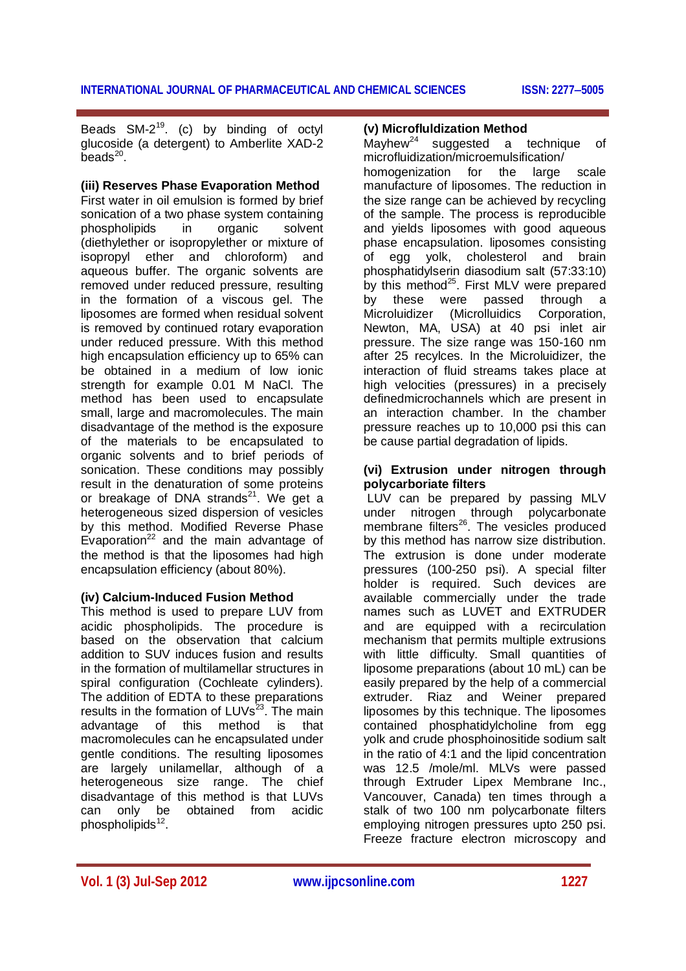Beads  $SM-2^{19}$ . (c) by binding of octyl glucoside (a detergent) to Amberlite XAD-2 beads $^{20}$ .

#### **(iii) Reserves Phase Evaporation Method**

First water in oil emulsion is formed by brief sonication of a two phase system containing phospholipids in organic solvent (diethylether or isopropylether or mixture of isopropyl ether and chloroform) and aqueous buffer. The organic solvents are removed under reduced pressure, resulting in the formation of a viscous gel. The liposomes are formed when residual solvent is removed by continued rotary evaporation under reduced pressure. With this method high encapsulation efficiency up to 65% can be obtained in a medium of low ionic strength for example 0.01 M NaCl. The method has been used to encapsulate small, large and macromolecules. The main disadvantage of the method is the exposure of the materials to be encapsulated to organic solvents and to brief periods of sonication. These conditions may possibly result in the denaturation of some proteins or breakage of DNA strands $^{21}$ . We get a heterogeneous sized dispersion of vesicles by this method. Modified Reverse Phase Evaporation<sup>22</sup> and the main advantage of the method is that the liposomes had high encapsulation efficiency (about 80%).

#### **(iv) Calcium-Induced Fusion Method**

This method is used to prepare LUV from acidic phospholipids. The procedure is based on the observation that calcium addition to SUV induces fusion and results in the formation of multilamellar structures in spiral configuration (Cochleate cylinders). The addition of EDTA to these preparations results in the formation of  $LUVs^{23}$ . The main advantage of this method is that macromolecules can he encapsulated under gentle conditions. The resulting liposomes are largely unilamellar, although of a heterogeneous size range. The chief disadvantage of this method is that LUVs can only be obtained from acidic phospholipids<sup>12</sup>.

### **(v) Microfluldization Method**

Mayhew<sup>24</sup> suggested a technique of microfluidization/microemulsification/ homogenization for the large scale manufacture of liposomes. The reduction in the size range can be achieved by recycling of the sample. The process is reproducible and yields liposomes with good aqueous phase encapsulation. liposomes consisting of egg yolk, cholesterol and brain phosphatidylserin diasodium salt (57:33:10) by this method<sup>25</sup>. First MLV were prepared by these were passed through a Microluidizer (Microlluidics Corporation, Newton, MA, USA) at 40 psi inlet air pressure. The size range was 150-160 nm after 25 recylces. In the Microluidizer, the interaction of fluid streams takes place at high velocities (pressures) in a precisely definedmicrochannels which are present in an interaction chamber. In the chamber pressure reaches up to 10,000 psi this can be cause partial degradation of lipids.

#### **(vi) Extrusion under nitrogen through polycarboriate filters**

LUV can be prepared by passing MLV under nitrogen through polycarbonate membrane filters $^{26}$ . The vesicles produced by this method has narrow size distribution. The extrusion is done under moderate pressures (100-250 psi). A special filter holder is required. Such devices are available commercially under the trade names such as LUVET and EXTRUDER and are equipped with a recirculation mechanism that permits multiple extrusions with little difficulty. Small quantities of liposome preparations (about 10 mL) can be easily prepared by the help of a commercial extruder. Riaz and Weiner prepared liposomes by this technique. The liposomes contained phosphatidylcholine from egg yolk and crude phosphoinositide sodium salt in the ratio of 4:1 and the lipid concentration was 12.5 /mole/ml. MLVs were passed through Extruder Lipex Membrane Inc., Vancouver, Canada) ten times through a stalk of two 100 nm polycarbonate filters employing nitrogen pressures upto 250 psi. Freeze fracture electron microscopy and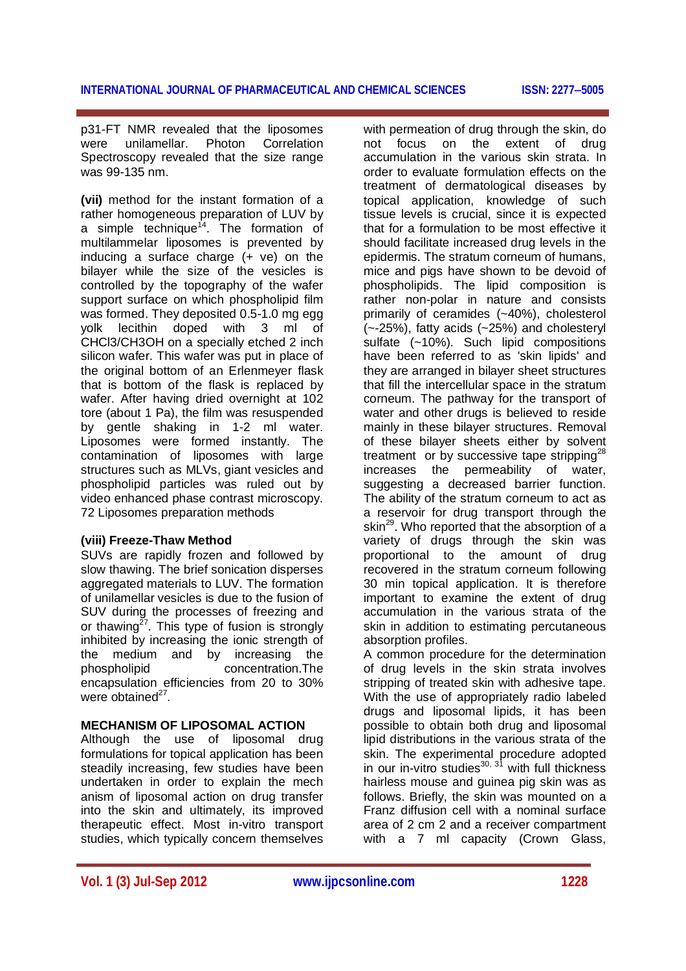p31-FT NMR revealed that the liposomes were unilamellar. Photon Correlation Spectroscopy revealed that the size range was 99-135 nm.

**(vii)** method for the instant formation of a rather homogeneous preparation of LUV by a simple technique<sup>14</sup>. The formation of multilammelar liposomes is prevented by inducing a surface charge (+ ve) on the bilayer while the size of the vesicles is controlled by the topography of the wafer support surface on which phospholipid film was formed. They deposited 0.5-1.0 mg egg<br>volk lecithin doped with 3 ml of yolk lecithin doped with 3 ml of CHCl3/CH3OH on a specially etched 2 inch silicon wafer. This wafer was put in place of the original bottom of an Erlenmeyer flask that is bottom of the flask is replaced by wafer. After having dried overnight at 102 tore (about 1 Pa), the film was resuspended by gentle shaking in 1-2 ml water. Liposomes were formed instantly. The contamination of liposomes with large structures such as MLVs, giant vesicles and phospholipid particles was ruled out by video enhanced phase contrast microscopy. 72 Liposomes preparation methods

### **(viii) Freeze-Thaw Method**

SUVs are rapidly frozen and followed by slow thawing. The brief sonication disperses aggregated materials to LUV. The formation of unilamellar vesicles is due to the fusion of SUV during the processes of freezing and or thawing<sup>27</sup>. This type of fusion is strongly inhibited by increasing the ionic strength of the medium and by increasing the phospholipid concentration.The encapsulation efficiencies from 20 to 30% were obtained<sup>27</sup>.

### **MECHANISM OF LIPOSOMAL ACTION**

Although the use of liposomal drug formulations for topical application has been steadily increasing, few studies have been undertaken in order to explain the mech anism of liposomal action on drug transfer into the skin and ultimately, its improved therapeutic effect. Most in-vitro transport studies, which typically concern themselves

with permeation of drug through the skin, do not focus on the extent of drug accumulation in the various skin strata. In order to evaluate formulation effects on the treatment of dermatological diseases by topical application, knowledge of such tissue levels is crucial, since it is expected that for a formulation to be most effective it should facilitate increased drug levels in the epidermis. The stratum corneum of humans, mice and pigs have shown to be devoid of phospholipids. The lipid composition is rather non-polar in nature and consists primarily of ceramides (~40%), cholesterol (~-25%), fatty acids (~25%) and cholesteryl sulfate (~10%). Such lipid compositions have been referred to as 'skin lipids' and they are arranged in bilayer sheet structures that fill the intercellular space in the stratum corneum. The pathway for the transport of water and other drugs is believed to reside mainly in these bilayer structures. Removal of these bilayer sheets either by solvent treatment or by successive tape stripping<sup>28</sup> increases the permeability of water, suggesting a decreased barrier function. The ability of the stratum corneum to act as a reservoir for drug transport through the skin<sup>29</sup>. Who reported that the absorption of a variety of drugs through the skin was proportional to the amount of drug recovered in the stratum corneum following 30 min topical application. It is therefore important to examine the extent of drug accumulation in the various strata of the skin in addition to estimating percutaneous absorption profiles.

A common procedure for the determination of drug levels in the skin strata involves stripping of treated skin with adhesive tape. With the use of appropriately radio labeled drugs and liposomal lipids, it has been possible to obtain both drug and liposomal lipid distributions in the various strata of the skin. The experimental procedure adopted in our in-vitro studies $^{30, 31}$  with full thickness hairless mouse and guinea pig skin was as follows. Briefly, the skin was mounted on a Franz diffusion cell with a nominal surface area of 2 cm 2 and a receiver compartment with a 7 ml capacity (Crown Glass,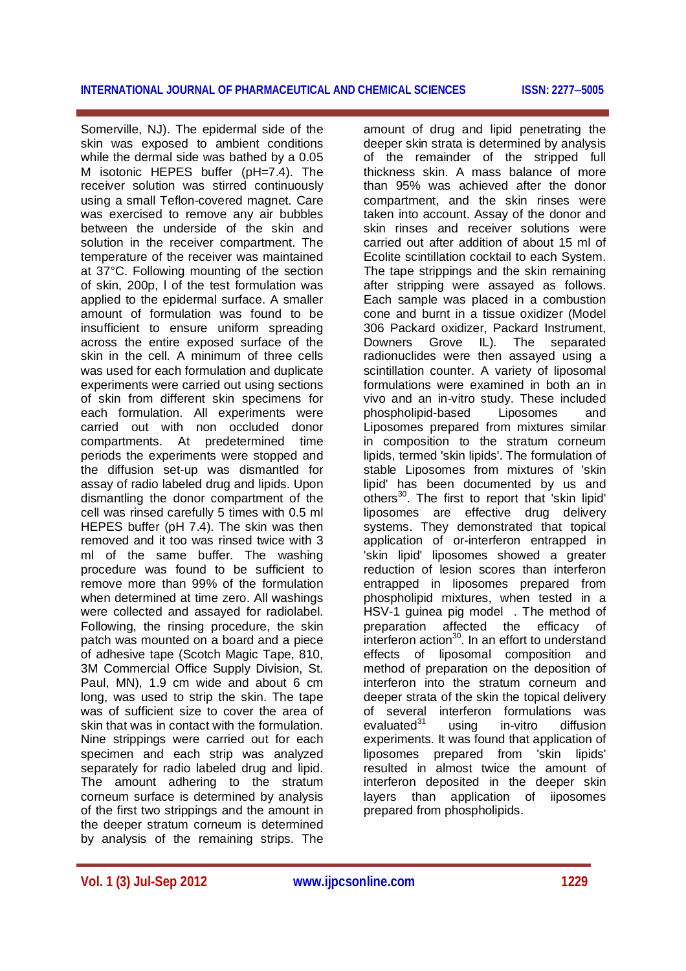#### **INTERNATIONAL JOURNAL OF PHARMACEUTICAL AND CHEMICAL SCIENCES ISSN: 22775005**

Somerville, NJ). The epidermal side of the skin was exposed to ambient conditions while the dermal side was bathed by a 0.05 M isotonic HEPES buffer (pH=7.4). The receiver solution was stirred continuously using a small Teflon-covered magnet. Care was exercised to remove any air bubbles between the underside of the skin and solution in the receiver compartment. The temperature of the receiver was maintained at 37°C. Following mounting of the section of skin, 200p, l of the test formulation was applied to the epidermal surface. A smaller amount of formulation was found to be insufficient to ensure uniform spreading across the entire exposed surface of the skin in the cell. A minimum of three cells was used for each formulation and duplicate experiments were carried out using sections of skin from different skin specimens for each formulation. All experiments were carried out with non occluded donor compartments. At predetermined time periods the experiments were stopped and the diffusion set-up was dismantled for assay of radio labeled drug and lipids. Upon dismantling the donor compartment of the cell was rinsed carefully 5 times with 0.5 ml HEPES buffer (pH 7.4). The skin was then removed and it too was rinsed twice with 3 ml of the same buffer. The washing procedure was found to be sufficient to remove more than 99% of the formulation when determined at time zero. All washings were collected and assayed for radiolabel. Following, the rinsing procedure, the skin patch was mounted on a board and a piece of adhesive tape (Scotch Magic Tape, 810, 3M Commercial Office Supply Division, St. Paul, MN), 1.9 cm wide and about 6 cm long, was used to strip the skin. The tape was of sufficient size to cover the area of skin that was in contact with the formulation. Nine strippings were carried out for each specimen and each strip was analyzed separately for radio labeled drug and lipid. The amount adhering to the stratum corneum surface is determined by analysis of the first two strippings and the amount in the deeper stratum corneum is determined by analysis of the remaining strips. The

amount of drug and lipid penetrating the deeper skin strata is determined by analysis of the remainder of the stripped full thickness skin. A mass balance of more than 95% was achieved after the donor compartment, and the skin rinses were taken into account. Assay of the donor and skin rinses and receiver solutions were carried out after addition of about 15 ml of Ecolite scintillation cocktail to each System. The tape strippings and the skin remaining after stripping were assayed as follows. Each sample was placed in a combustion cone and burnt in a tissue oxidizer (Model 306 Packard oxidizer, Packard Instrument, Downers Grove IL). The separated radionuclides were then assayed using a scintillation counter. A variety of liposomal formulations were examined in both an in vivo and an in-vitro study. These included phospholipid-based Liposomes and Liposomes prepared from mixtures similar in composition to the stratum corneum lipids, termed 'skin lipids'. The formulation of stable Liposomes from mixtures of 'skin lipid' has been documented by us and others<sup>30</sup>. The first to report that 'skin lipid' liposomes are effective drug delivery systems. They demonstrated that topical application of or-interferon entrapped in 'skin lipid' liposomes showed a greater reduction of lesion scores than interferon entrapped in liposomes prepared from phospholipid mixtures, when tested in a HSV-1 guinea pig model . The method of preparation affected the efficacy of interferon action<sup>30</sup>. In an effort to understand effects of liposomal composition and method of preparation on the deposition of interferon into the stratum corneum and deeper strata of the skin the topical delivery of several interferon formulations was  $e$ valuated $31$  using in-vitro diffusion experiments. It was found that application of liposomes prepared from 'skin lipids' resulted in almost twice the amount of interferon deposited in the deeper skin layers than application of iiposomes prepared from phospholipids.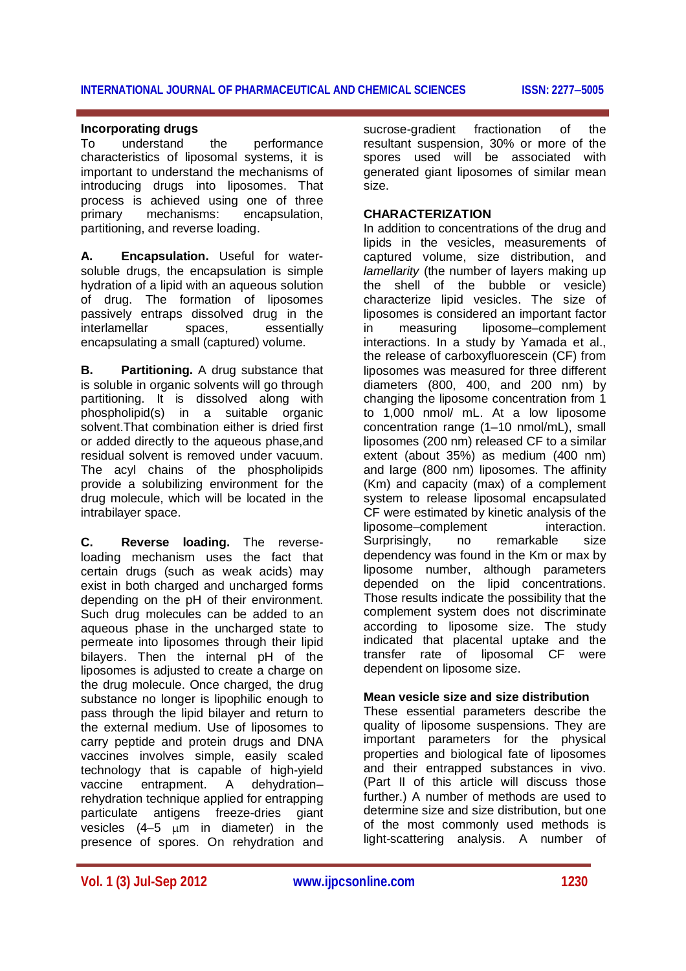#### **INTERNATIONAL JOURNAL OF PHARMACEUTICAL AND CHEMICAL SCIENCES ISSN: 22775005**

#### **Incorporating drugs**

To understand the performance characteristics of liposomal systems, it is important to understand the mechanisms of introducing drugs into liposomes. That process is achieved using one of three primary mechanisms: encapsulation, partitioning, and reverse loading.

**A. Encapsulation.** Useful for watersoluble drugs, the encapsulation is simple hydration of a lipid with an aqueous solution of drug. The formation of liposomes passively entraps dissolved drug in the interlamellar spaces, essentially encapsulating a small (captured) volume.

**B. Partitioning.** A drug substance that is soluble in organic solvents will go through partitioning. It is dissolved along with phospholipid(s) in a suitable organic solvent.That combination either is dried first or added directly to the aqueous phase,and residual solvent is removed under vacuum. The acyl chains of the phospholipids provide a solubilizing environment for the drug molecule, which will be located in the intrabilayer space.

**C. Reverse loading.** The reverseloading mechanism uses the fact that certain drugs (such as weak acids) may exist in both charged and uncharged forms depending on the pH of their environment. Such drug molecules can be added to an aqueous phase in the uncharged state to permeate into liposomes through their lipid bilayers. Then the internal pH of the liposomes is adjusted to create a charge on the drug molecule. Once charged, the drug substance no longer is lipophilic enough to pass through the lipid bilayer and return to the external medium. Use of liposomes to carry peptide and protein drugs and DNA vaccines involves simple, easily scaled technology that is capable of high-yield vaccine entrapment. A dehydration– rehydration technique applied for entrapping particulate antigens freeze-dries giant vesicles  $(4-5)$  um in diameter) in the presence of spores. On rehydration and

sucrose-gradient fractionation of the resultant suspension, 30% or more of the spores used will be associated with generated giant liposomes of similar mean size.

#### **CHARACTERIZATION**

In addition to concentrations of the drug and lipids in the vesicles, measurements of captured volume, size distribution, and *lamellarity* (the number of layers making up the shell of the bubble or vesicle) characterize lipid vesicles. The size of liposomes is considered an important factor in measuring liposome–complement interactions. In a study by Yamada et al., the release of carboxyfluorescein (CF) from liposomes was measured for three different diameters (800, 400, and 200 nm) by changing the liposome concentration from 1 to 1,000 nmol/ mL. At a low liposome concentration range (1–10 nmol/mL), small liposomes (200 nm) released CF to a similar extent (about 35%) as medium (400 nm) and large (800 nm) liposomes. The affinity (Km) and capacity (max) of a complement system to release liposomal encapsulated CF were estimated by kinetic analysis of the liposome–complement interaction. Surprisingly, no remarkable size dependency was found in the Km or max by liposome number, although parameters depended on the lipid concentrations. Those results indicate the possibility that the complement system does not discriminate according to liposome size. The study indicated that placental uptake and the transfer rate of liposomal CF were dependent on liposome size.

#### **Mean vesicle size and size distribution**

These essential parameters describe the quality of liposome suspensions. They are important parameters for the physical properties and biological fate of liposomes and their entrapped substances in vivo. (Part II of this article will discuss those further.) A number of methods are used to determine size and size distribution, but one of the most commonly used methods is light-scattering analysis. A number of

**Vol. 1 (3) Jul-Sep 2012 www.ijpcsonline.com 1230**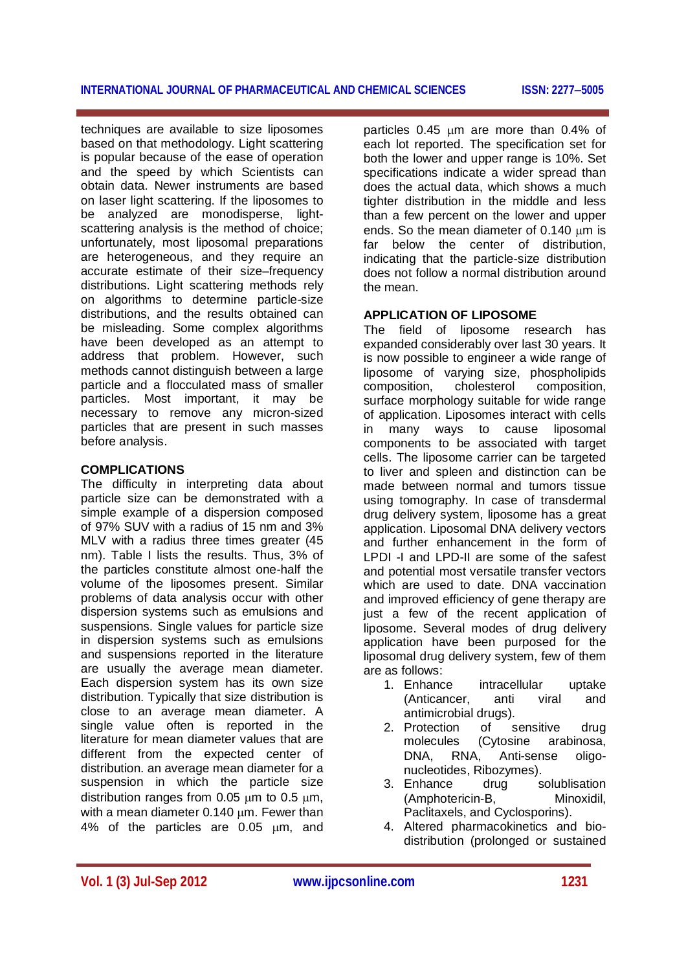#### **INTERNATIONAL JOURNAL OF PHARMACEUTICAL AND CHEMICAL SCIENCES ISSN: 22775005**

techniques are available to size liposomes based on that methodology. Light scattering is popular because of the ease of operation and the speed by which Scientists can obtain data. Newer instruments are based on laser light scattering. If the liposomes to be analyzed are monodisperse, lightscattering analysis is the method of choice; unfortunately, most liposomal preparations are heterogeneous, and they require an accurate estimate of their size–frequency distributions. Light scattering methods rely on algorithms to determine particle-size distributions, and the results obtained can be misleading. Some complex algorithms have been developed as an attempt to address that problem. However, such methods cannot distinguish between a large particle and a flocculated mass of smaller particles. Most important, it may be necessary to remove any micron-sized particles that are present in such masses before analysis.

#### **COMPLICATIONS**

The difficulty in interpreting data about particle size can be demonstrated with a simple example of a dispersion composed of 97% SUV with a radius of 15 nm and 3% MLV with a radius three times greater (45 nm). Table I lists the results. Thus, 3% of the particles constitute almost one-half the volume of the liposomes present. Similar problems of data analysis occur with other dispersion systems such as emulsions and suspensions. Single values for particle size in dispersion systems such as emulsions and suspensions reported in the literature are usually the average mean diameter. Each dispersion system has its own size distribution. Typically that size distribution is close to an average mean diameter. A single value often is reported in the literature for mean diameter values that are different from the expected center of distribution. an average mean diameter for a suspension in which the particle size distribution ranges from  $0.05 \mu m$  to  $0.5 \mu m$ , with a mean diameter  $0.140 \mu m$ . Fewer than 4% of the particles are  $0.05 \mu m$ , and

particles  $0.45$  um are more than  $0.4\%$  of each lot reported. The specification set for both the lower and upper range is 10%. Set specifications indicate a wider spread than does the actual data, which shows a much tighter distribution in the middle and less than a few percent on the lower and upper ends. So the mean diameter of  $0.140 \mu m$  is far below the center of distribution, indicating that the particle-size distribution does not follow a normal distribution around the mean.

#### **APPLICATION OF LIPOSOME**

The field of liposome research has expanded considerably over last 30 years. It is now possible to engineer a wide range of liposome of varying size, phospholipids composition, cholesterol composition, surface morphology suitable for wide range of application. Liposomes interact with cells in many ways to cause liposomal components to be associated with target cells. The liposome carrier can be targeted to liver and spleen and distinction can be made between normal and tumors tissue using tomography. In case of transdermal drug delivery system, liposome has a great application. Liposomal DNA delivery vectors and further enhancement in the form of LPDI -I and LPD-II are some of the safest and potential most versatile transfer vectors which are used to date. DNA vaccination and improved efficiency of gene therapy are just a few of the recent application of liposome. Several modes of drug delivery application have been purposed for the liposomal drug delivery system, few of them are as follows:

- 1. Enhance intracellular uptake (Anticancer, anti viral and antimicrobial drugs).
- 2. Protection of sensitive drug molecules (Cytosine arabinosa, DNA, RNA, Anti-sense oligonucleotides, Ribozymes).
- 3. Enhance drug solublisation (Amphotericin-B, Minoxidil, Paclitaxels, and Cyclosporins).
- 4. Altered pharmacokinetics and biodistribution (prolonged or sustained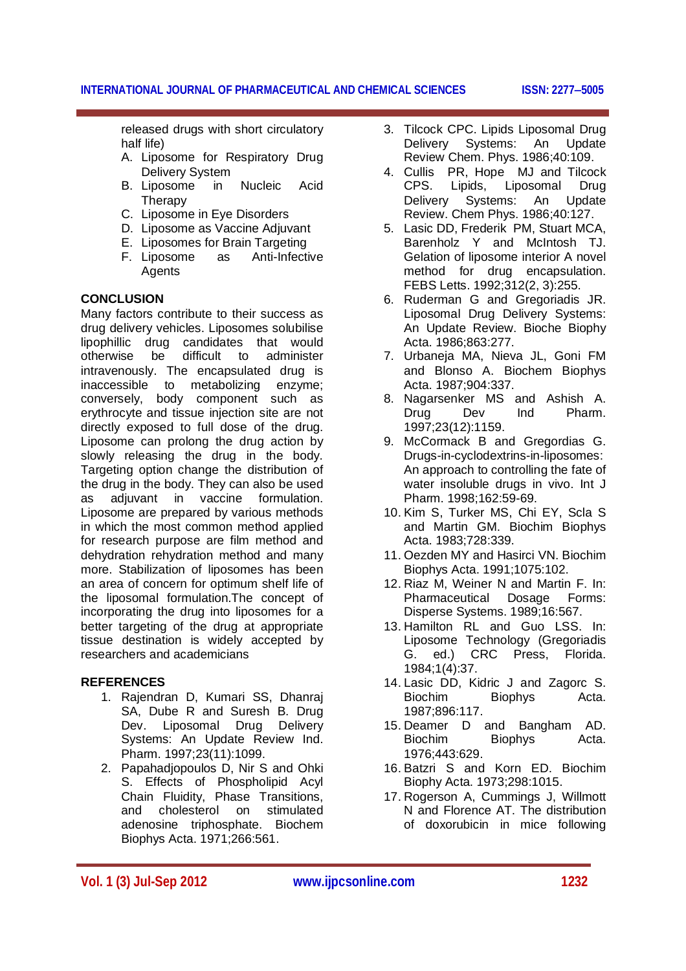released drugs with short circulatory half life)

- A. Liposome for Respiratory Drug Delivery System
- B. Liposome in Nucleic Acid **Therapy**
- C. Liposome in Eye Disorders
- D. Liposome as Vaccine Adjuvant
- E. Liposomes for Brain Targeting
- F. Liposome as Anti-Infective Agents

## **CONCLUSION**

Many factors contribute to their success as drug delivery vehicles. Liposomes solubilise lipophillic drug candidates that would otherwise be difficult to administer intravenously. The encapsulated drug is inaccessible to metabolizing enzyme; conversely, body component such as erythrocyte and tissue injection site are not directly exposed to full dose of the drug. Liposome can prolong the drug action by slowly releasing the drug in the body. Targeting option change the distribution of the drug in the body. They can also be used as adjuvant in vaccine formulation. Liposome are prepared by various methods in which the most common method applied for research purpose are film method and dehydration rehydration method and many more. Stabilization of liposomes has been an area of concern for optimum shelf life of the liposomal formulation.The concept of incorporating the drug into liposomes for a better targeting of the drug at appropriate tissue destination is widely accepted by researchers and academicians

### **REFERENCES**

- 1. Rajendran D, Kumari SS, Dhanraj SA, Dube R and Suresh B. Drug Dev. Liposomal Drug Delivery Systems: An Update Review Ind. Pharm. 1997;23(11):1099.
- 2. Papahadjopoulos D, Nir S and Ohki S. Effects of Phospholipid Acyl **Chain Fluidity, Phase Transitions, chain Chain Chain**<br>and cholesterol on stimulated and cholesterol on adenosine triphosphate. Biochem Biophys Acta. 1971;266:561.
- 3. Tilcock CPC. Lipids Liposomal Drug Delivery Systems: An Update Review Chem. Phys. 1986;40:109.
- 4. Cullis PR, Hope MJ and Tilcock CPS. Lipids, Liposomal Drug Delivery Systems: An Update Review. Chem Phys. 1986;40:127.
- 5. Lasic DD, Frederik PM, Stuart MCA, Barenholz Y and McIntosh TJ. Gelation of liposome interior A novel method for drug encapsulation. FEBS Letts. 1992;312(2, 3):255.
- 6. Ruderman G and Gregoriadis JR. Liposomal Drug Delivery Systems: An Update Review. Bioche Biophy Acta. 1986;863:277.
- 7. Urbaneja MA, Nieva JL, Goni FM and Blonso A. Biochem Biophys Acta. 1987;904:337.
- 8. Nagarsenker MS and Ashish A. Drug Dev Ind Pharm. 1997;23(12):1159.
- 9. McCormack B and Gregordias G. Drugs-in-cyclodextrins-in-liposomes: An approach to controlling the fate of water insoluble drugs in vivo. Int J Pharm. 1998;162:59-69.
- 10. Kim S, Turker MS, Chi EY, Scla S and Martin GM. Biochim Biophys Acta. 1983;728:339.
- 11. Oezden MY and Hasirci VN. Biochim Biophys Acta. 1991;1075:102.
- 12. Riaz M, Weiner N and Martin F. In: Pharmaceutical Dosage Forms: Disperse Systems. 1989;16:567.
- 13. Hamilton RL and Guo LSS. In: Liposome Technology (Gregoriadis G. ed.) CRC Press, Florida. 1984;1(4):37.
- 14. Lasic DD, Kidric J and Zagorc S. Biochim Biophys Acta. 1987;896:117.
- 15. Deamer D and Bangham AD. Biochim Biophys Acta. 1976;443:629.
- 16. Batzri S and Korn ED. Biochim Biophy Acta. 1973;298:1015.
- 17. Rogerson A, Cummings J, Willmott N and Florence AT. The distribution of doxorubicin in mice following